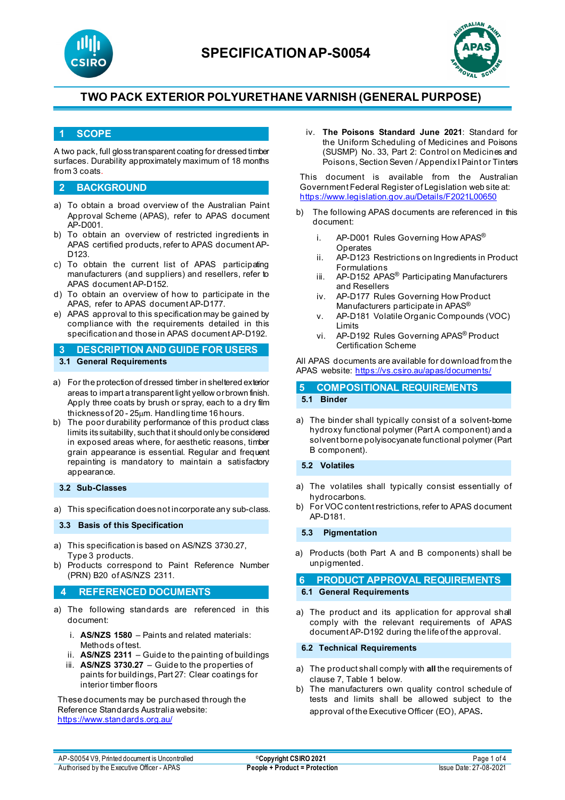



### **1 SCOPE**

A two pack, full gloss transparent coating for dressed timber surfaces. Durability approximately maximum of 18 months from 3 coats.

### **2 BACKGROUND**

- a) To obtain a broad overview of the Australian Paint Approval Scheme (APAS), refer to APAS document AP-D001.
- b) To obtain an overview of restricted ingredients in APAS certified products, refer to APAS document AP-D123.
- c) To obtain the current list of APAS participating manufacturers (and suppliers) and resellers, refer to APAS document AP-D152.
- d) To obtain an overview of how to participate in the APAS, refer to APAS document AP-D177.
- e) APAS approval to this specification may be gained by compliance with the requirements detailed in this specification and those in APAS document AP-D192.

**3 DESCRIPTION AND GUIDE FOR USERS 3.1 General Requirements**

- 
- a) For the protection of dressed timber in sheltered exterior areas to impart a transparent light yellow or brown finish. Apply three coats by brush or spray, each to a dry film thickness of 20 - 25µm. Handling time 16 hours.
- b) The poor durability performance of this product class limits its suitability, such that it should only be considered in exposed areas where, for aesthetic reasons, timber grain appearance is essential. Regular and frequent repainting is mandatory to maintain a satisfactory appearance.

### **3.2 Sub-Classes**

a) This specification does not incorporate any sub-class.

#### **3.3 Basis of this Specification**

- a) This specification is based on AS/NZS 3730.27, Type 3 products.
- b) Products correspond to Paint Reference Number (PRN) B20 of AS/NZS 2311.

### **4 REFERENCED DOCUMENTS**

- a) The following standards are referenced in this document:
	- i. **AS/NZS 1580** Paints and related materials: Methods of test.
	- ii. **AS/NZS 2311** Guide to the painting of buildings
	- iii. **AS/NZS 3730.27** Guide to the properties of paints for buildings, Part 27: Clear coatings for interior timber floors

These documents may be purchased through the Reference Standards Australia website: <https://www.standards.org.au/>

iv. **The Poisons Standard June 2021**: Standard for the Uniform Scheduling of Medicines and Poisons (SUSMP) No. 33, Part 2: Control on Medicines and Poisons, Section Seven / Appendix I Paint or Tinters

This document is available from the Australian Government Federal Register of Legislation web site at: <https://www.legislation.gov.au/Details/F2021L00650>

- b) The following APAS documents are referenced in this document:
	- i. AP-D001 Rules Governing How APAS<sup>®</sup> Operates
	- ii. AP-D123 Restrictions on Ingredients in Product Formulations
	- iii. AP-D152 APAS® Participating Manufacturers and Resellers
	- iv. AP-D177 Rules Governing How Product Manufacturers participate in APAS®
	- v. AP-D181 Volatile Organic Compounds (VOC) Limits
	- vi. AP-D192 Rules Governing APAS® Product Certification Scheme

All APAS documents are available for download from the APAS website:<https://vs.csiro.au/apas/documents/>

## **5 COMPOSITIONAL REQUIREMENTS 5.1 Binder**

a) The binder shall typically consist of a solvent-borne hydroxy functional polymer (Part A component) and a solvent borne polyisocyanate functional polymer (Part B component).

#### **5.2 Volatiles**

- a) The volatiles shall typically consist essentially of hydrocarbons.
- b) For VOC content restrictions, refer to APAS document AP-D181.

#### **5.3 Pigmentation**

a) Products (both Part A and B components) shall be unpigmented.

### **6 PRODUCT APPROVAL REQUIREMENTS**

### **6.1 General Requirements**

a) The product and its application for approval shall comply with the relevant requirements of APAS document AP-D192 during the life of the approval.

#### **6.2 Technical Requirements**

- a) The product shall comply with **all** the requirements of clause 7, Table 1 below.
- b) The manufacturers own quality control schedule of tests and limits shall be allowed subject to the approval of the Executive Officer (EO), APAS.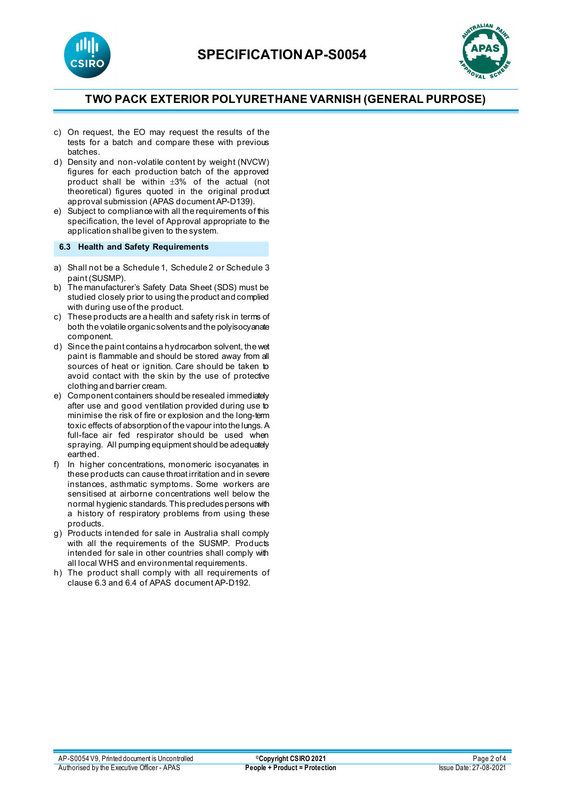



- c) On request, the EO may request the results of the tests for a batch and compare these with previous batches.
- d) Density and non-volatile content by weight (NVCW) figures for each production batch of the approved product shall be within ±3% of the actual (not theoretical) figures quoted in the original product approval submission (APAS document AP-D139).
- e) Subject to compliance with all the requirements of this specification, the level of Approval appropriate to the application shall be given to the system.

**6.3 Health and Safety Requirements**

- a) Shall not be a Schedule 1, Schedule 2 or Schedule 3 paint (SUSMP).
- b) The manufacturer's Safety Data Sheet (SDS) must be studied closely prior to using the product and complied with during use of the product.
- c) These products are a health and safety risk in terms of both the volatile organic solvents and the polyisocyanate component.
- d) Since the paint contains a hydrocarbon solvent, the wet paint is flammable and should be stored away from all sources of heat or ignition. Care should be taken to avoid contact with the skin by the use of protective clothing and barrier cream.
- e) Component containers should be resealed immediately after use and good ventilation provided during use to minimise the risk of fire or explosion and the long-term toxic effects of absorption of the vapour into the lungs. A full-face air fed respirator should be used when spraying. All pumping equipment should be adequately earthed.
- f) In higher concentrations, monomeric isocyanates in these products can cause throat irritation and in severe instances, asthmatic symptoms. Some workers are sensitised at airborne concentrations well below the normal hygienic standards. This precludes persons with a history of respiratory problems from using these products.
- g) Products intended for sale in Australia shall comply with all the requirements of the SUSMP. Products intended for sale in other countries shall comply with all local WHS and environmental requirements.
- h) The product shall comply with all requirements of clause 6.3 and 6.4 of APAS document AP-D192.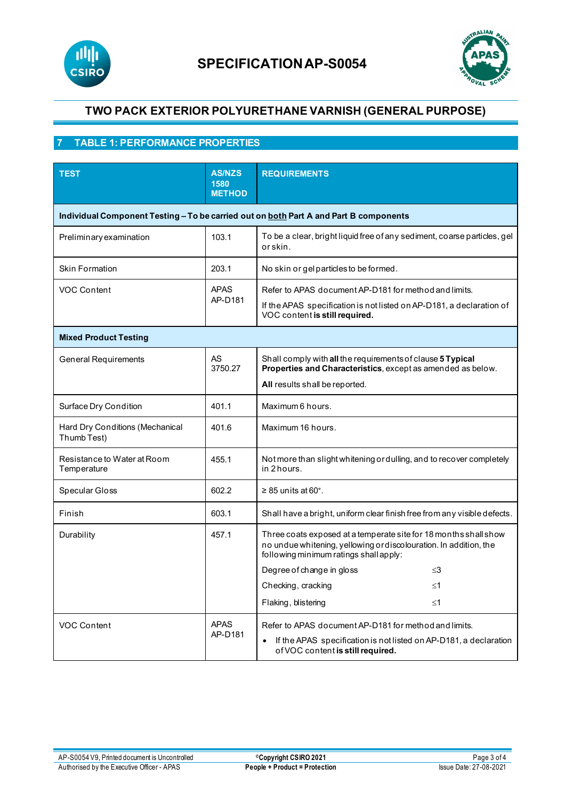



# **7 TABLE 1: PERFORMANCE PROPERTIES**

| <b>TEST</b>                                                                           | <b>AS/NZS</b><br>1580<br><b>METHOD</b> | <b>REQUIREMENTS</b>                                                                                                                                                             |  |
|---------------------------------------------------------------------------------------|----------------------------------------|---------------------------------------------------------------------------------------------------------------------------------------------------------------------------------|--|
| Individual Component Testing - To be carried out on both Part A and Part B components |                                        |                                                                                                                                                                                 |  |
| Preliminary examination                                                               | 103.1                                  | To be a clear, bright liquid free of any sediment, coarse particles, gel<br>or skin.                                                                                            |  |
| <b>Skin Formation</b>                                                                 | 203.1                                  | No skin or gelparticles to be formed.                                                                                                                                           |  |
| VOC Content                                                                           | <b>APAS</b><br>AP-D181                 | Refer to APAS document AP-D181 for method and limits.<br>If the APAS specification is not listed on AP-D181, a declaration of<br>VOC content is still required.                 |  |
| <b>Mixed Product Testing</b>                                                          |                                        |                                                                                                                                                                                 |  |
| <b>General Requirements</b>                                                           | <b>AS</b><br>3750.27                   | Shall comply with all the requirements of clause 5 Typical<br>Properties and Characteristics, except as amended as below.<br>All results shall be reported.                     |  |
| Surface Dry Condition                                                                 | 401.1                                  | Maximum 6 hours.                                                                                                                                                                |  |
| Hard Dry Conditions (Mechanical<br>Thumb Test)                                        | 401.6                                  | Maximum 16 hours.                                                                                                                                                               |  |
| Resistance to Water at Room<br>Temperature                                            | 455.1                                  | Not more than slight whitening or dulling, and to recover completely<br>in 2 hours.                                                                                             |  |
| Specular Gloss                                                                        | 602.2                                  | $\geq$ 85 units at 60°.                                                                                                                                                         |  |
| Finish                                                                                | 603.1                                  | Shall have a bright, uniform clear finish free from any visible defects.                                                                                                        |  |
| Durability                                                                            | 457.1                                  | Three coats exposed at a temperate site for 18 months shall show<br>no undue whitening, yellowing or discolouration. In addition, the<br>following minimum ratings shall apply: |  |
|                                                                                       |                                        | Degree of change in gloss<br>≤3                                                                                                                                                 |  |
|                                                                                       |                                        | Checking, cracking<br>≤1                                                                                                                                                        |  |
|                                                                                       |                                        | Flaking, blistering<br>≤1                                                                                                                                                       |  |
| VOC Content                                                                           | <b>APAS</b><br>AP-D181                 | Refer to APAS document AP-D181 for method and limits.<br>If the APAS specification is not listed on AP-D181, a declaration<br>of VOC content is still required.                 |  |